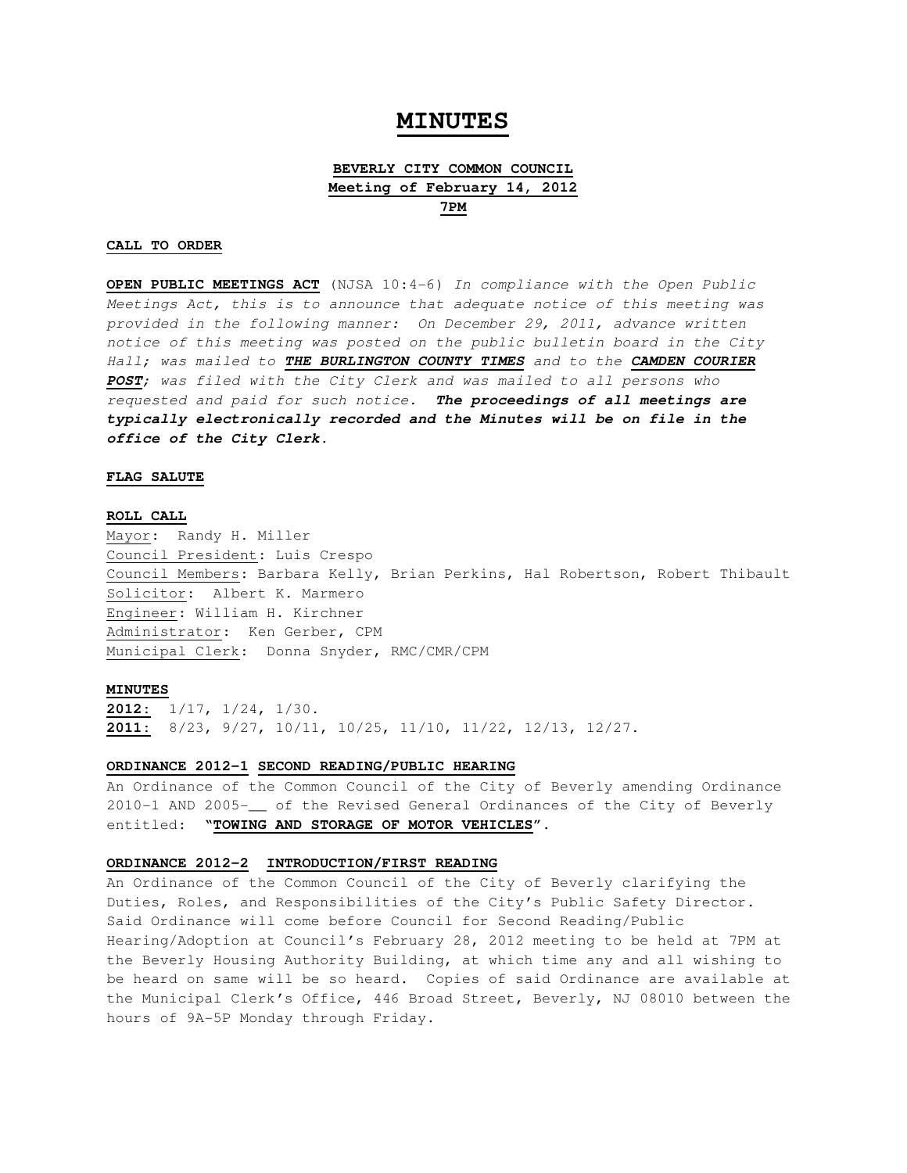# **MINUTES**

## **BEVERLY CITY COMMON COUNCIL Meeting of February 14, 2012 7PM**

### **CALL TO ORDER**

**OPEN PUBLIC MEETINGS ACT** (NJSA 10:4-6) In compliance with the Open Public Meetings Act, this is to announce that adequate notice of this meeting was provided in the following manner: On December 29, 2011, advance written notice of this meeting was posted on the public bulletin board in the City Hall; was mailed to **THE BURLINGTON COUNTY TIMES** and to the **CAMDEN COURIER POST**; was filed with the City Clerk and was mailed to all persons who requested and paid for such notice. **The proceedings of all meetings are typically electronically recorded and the Minutes will be on file in the office of the City Clerk.** 

#### **FLAG SALUTE**

#### **ROLL CALL**

Mayor: Randy H. Miller Council President: Luis Crespo Council Members: Barbara Kelly, Brian Perkins, Hal Robertson, Robert Thibault Solicitor: Albert K. Marmero Engineer: William H. Kirchner Administrator: Ken Gerber, CPM Municipal Clerk: Donna Snyder, RMC/CMR/CPM

#### **MINUTES**

**2012:** 1/17, 1/24, 1/30. **2011:** 8/23, 9/27, 10/11, 10/25, 11/10, 11/22, 12/13, 12/27.

#### **ORDINANCE 2012-1 SECOND READING/PUBLIC HEARING**

An Ordinance of the Common Council of the City of Beverly amending Ordinance 2010-1 AND 2005-\_\_ of the Revised General Ordinances of the City of Beverly entitled: **"TOWING AND STORAGE OF MOTOR VEHICLES".** 

#### **ORDINANCE 2012-2 INTRODUCTION/FIRST READING**

An Ordinance of the Common Council of the City of Beverly clarifying the Duties, Roles, and Responsibilities of the City's Public Safety Director. Said Ordinance will come before Council for Second Reading/Public Hearing/Adoption at Council's February 28, 2012 meeting to be held at 7PM at the Beverly Housing Authority Building, at which time any and all wishing to be heard on same will be so heard. Copies of said Ordinance are available at the Municipal Clerk's Office, 446 Broad Street, Beverly, NJ 08010 between the hours of 9A-5P Monday through Friday.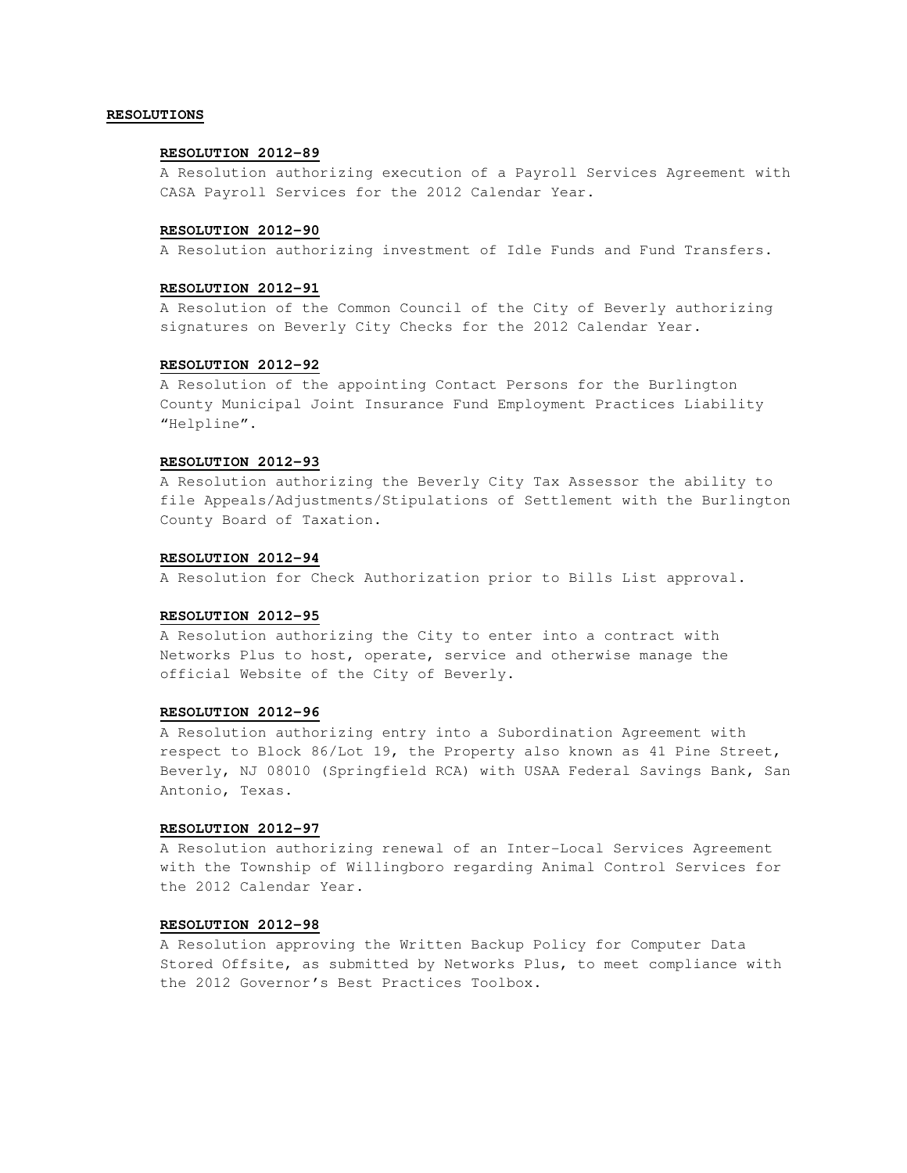### **RESOLUTIONS**

### **RESOLUTION 2012-89**

A Resolution authorizing execution of a Payroll Services Agreement with CASA Payroll Services for the 2012 Calendar Year.

### **RESOLUTION 2012-90**

A Resolution authorizing investment of Idle Funds and Fund Transfers.

### **RESOLUTION 2012-91**

A Resolution of the Common Council of the City of Beverly authorizing signatures on Beverly City Checks for the 2012 Calendar Year.

## **RESOLUTION 2012-92**

A Resolution of the appointing Contact Persons for the Burlington County Municipal Joint Insurance Fund Employment Practices Liability "Helpline".

### **RESOLUTION 2012-93**

A Resolution authorizing the Beverly City Tax Assessor the ability to file Appeals/Adjustments/Stipulations of Settlement with the Burlington County Board of Taxation.

#### **RESOLUTION 2012-94**

A Resolution for Check Authorization prior to Bills List approval.

#### **RESOLUTION 2012-95**

A Resolution authorizing the City to enter into a contract with Networks Plus to host, operate, service and otherwise manage the official Website of the City of Beverly.

#### **RESOLUTION 2012-96**

A Resolution authorizing entry into a Subordination Agreement with respect to Block 86/Lot 19, the Property also known as 41 Pine Street, Beverly, NJ 08010 (Springfield RCA) with USAA Federal Savings Bank, San Antonio, Texas.

#### **RESOLUTION 2012-97**

A Resolution authorizing renewal of an Inter-Local Services Agreement with the Township of Willingboro regarding Animal Control Services for the 2012 Calendar Year.

### **RESOLUTION 2012-98**

A Resolution approving the Written Backup Policy for Computer Data Stored Offsite, as submitted by Networks Plus, to meet compliance with the 2012 Governor's Best Practices Toolbox.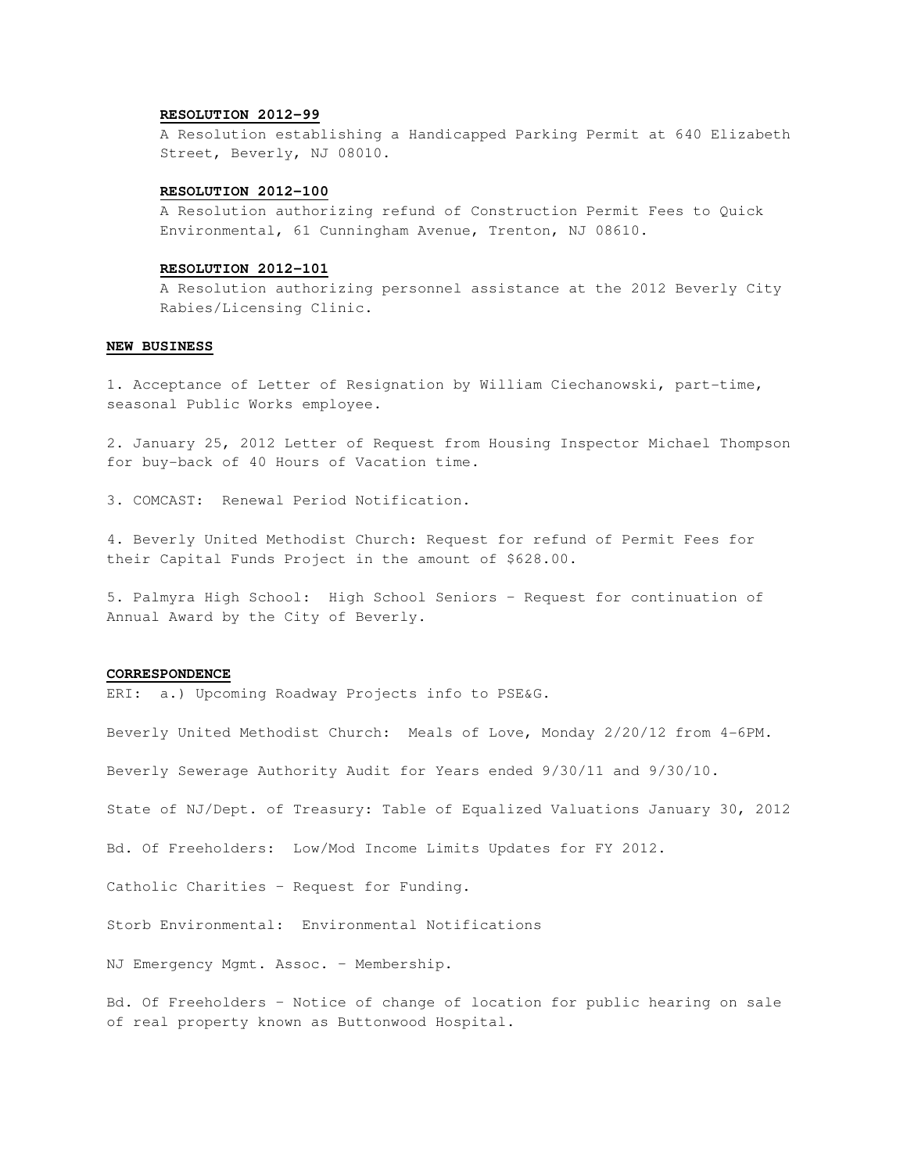### **RESOLUTION 2012-99**

A Resolution establishing a Handicapped Parking Permit at 640 Elizabeth Street, Beverly, NJ 08010.

#### **RESOLUTION 2012-100**

A Resolution authorizing refund of Construction Permit Fees to Quick Environmental, 61 Cunningham Avenue, Trenton, NJ 08610.

#### **RESOLUTION 2012-101**

A Resolution authorizing personnel assistance at the 2012 Beverly City Rabies/Licensing Clinic.

#### **NEW BUSINESS**

1. Acceptance of Letter of Resignation by William Ciechanowski, part-time, seasonal Public Works employee.

2. January 25, 2012 Letter of Request from Housing Inspector Michael Thompson for buy-back of 40 Hours of Vacation time.

3. COMCAST: Renewal Period Notification.

4. Beverly United Methodist Church: Request for refund of Permit Fees for their Capital Funds Project in the amount of \$628.00.

5. Palmyra High School: High School Seniors – Request for continuation of Annual Award by the City of Beverly.

### **CORRESPONDENCE**

ERI: a.) Upcoming Roadway Projects info to PSE&G.

Beverly United Methodist Church: Meals of Love, Monday 2/20/12 from 4-6PM.

Beverly Sewerage Authority Audit for Years ended 9/30/11 and 9/30/10.

State of NJ/Dept. of Treasury: Table of Equalized Valuations January 30, 2012

Bd. Of Freeholders: Low/Mod Income Limits Updates for FY 2012.

Catholic Charities – Request for Funding.

Storb Environmental: Environmental Notifications

NJ Emergency Mgmt. Assoc. – Membership.

Bd. Of Freeholders – Notice of change of location for public hearing on sale of real property known as Buttonwood Hospital.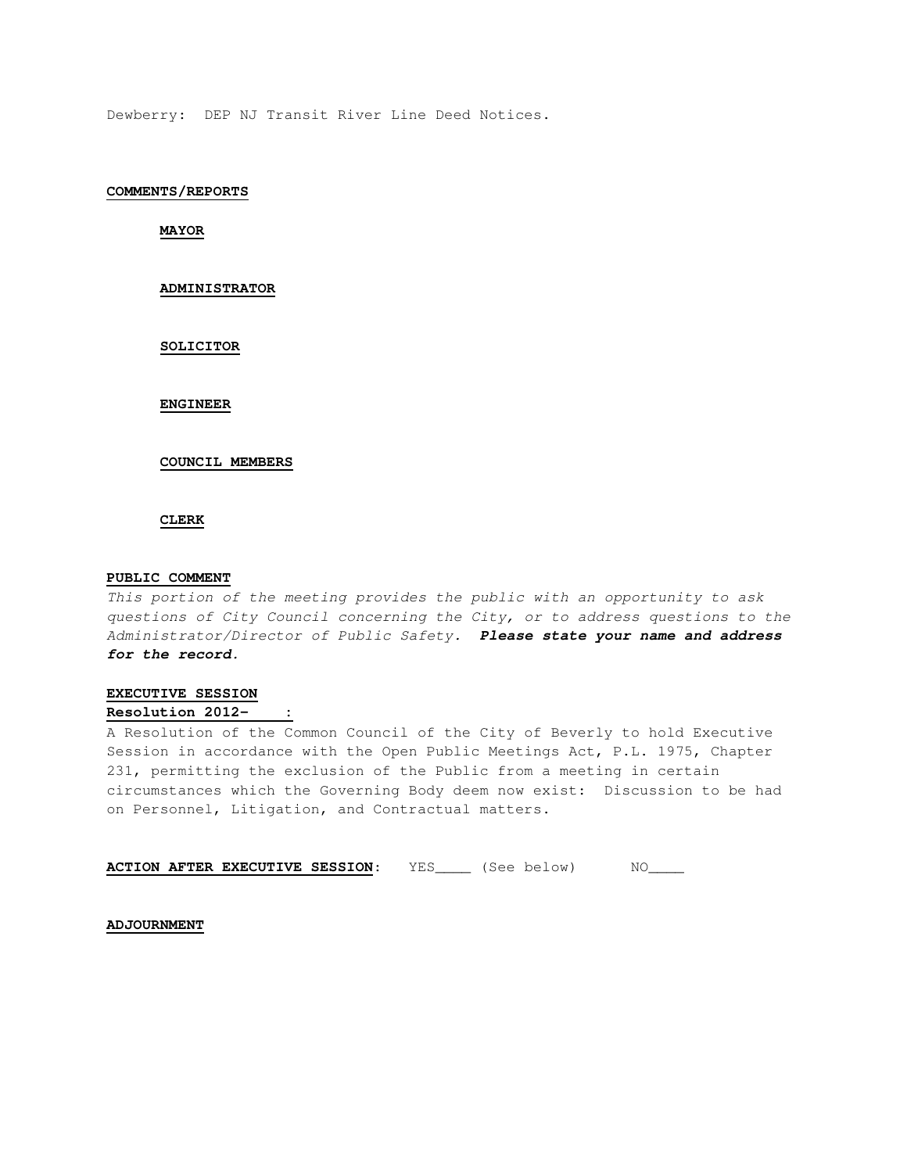Dewberry: DEP NJ Transit River Line Deed Notices.

### **COMMENTS/REPORTS**

**MAYOR** 

### **ADMINISTRATOR**

#### **SOLICITOR**

### **ENGINEER**

### **COUNCIL MEMBERS**

### **CLERK**

### **PUBLIC COMMENT**

This portion of the meeting provides the public with an opportunity to ask questions of City Council concerning the City, or to address questions to the Administrator/Director of Public Safety. **Please state your name and address for the record.** 

## **EXECUTIVE SESSION Resolution 2012- :**

A Resolution of the Common Council of the City of Beverly to hold Executive Session in accordance with the Open Public Meetings Act, P.L. 1975, Chapter 231, permitting the exclusion of the Public from a meeting in certain circumstances which the Governing Body deem now exist: Discussion to be had on Personnel, Litigation, and Contractual matters.

| <b>ACTION AFTER EXECUTIVE SESSION:</b> |  | (See below) |  |
|----------------------------------------|--|-------------|--|
|----------------------------------------|--|-------------|--|

#### **ADJOURNMENT**